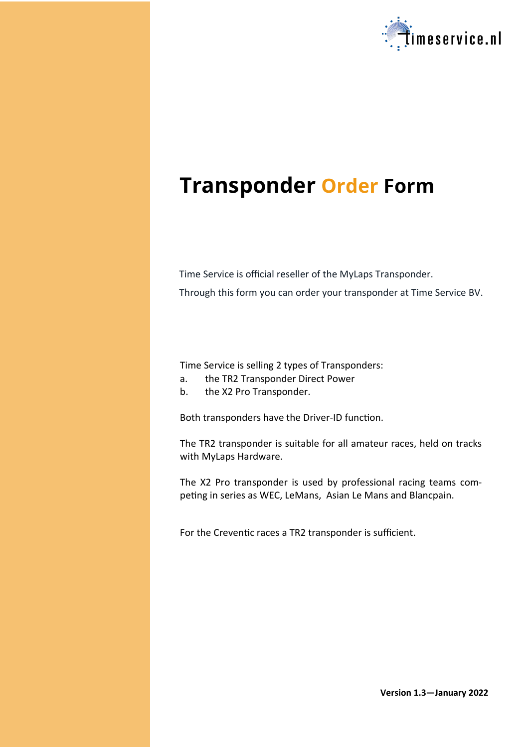

# **Transponder Order Form**

Time Service is official reseller of the MyLaps Transponder. Through this form you can order your transponder at Time Service BV.

Time Service is selling 2 types of Transponders:

- a. the TR2 Transponder Direct Power
- b. the X2 Pro Transponder.

Both transponders have the Driver-ID function.

The TR2 transponder is suitable for all amateur races, held on tracks with MyLaps Hardware.

The X2 Pro transponder is used by professional racing teams competing in series as WEC, LeMans, Asian Le Mans and Blancpain.

For the Creventic races a TR2 transponder is sufficient.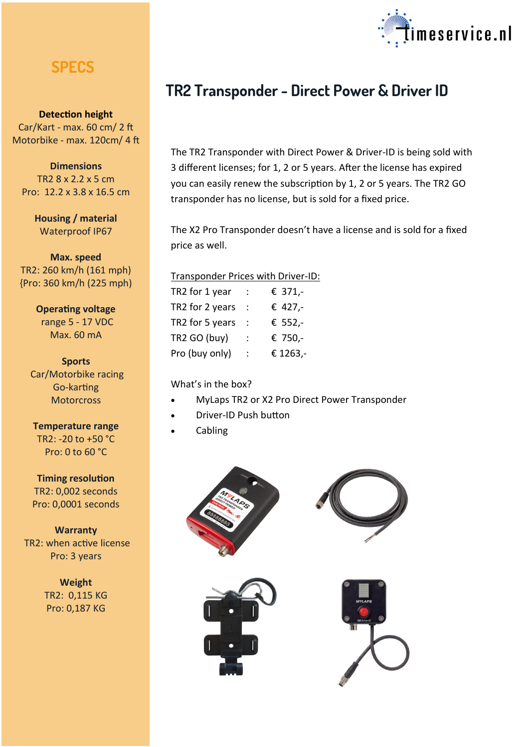## **SPECS**

**Detection height**  Car/Kart - max. 60 cm/ 2 ft Motorbike - max. 120cm/ 4 ft

**Dimensions** TR2 8 x 2.2 x 5 cm Pro: 12.2 x 3.8 x 16.5 cm

> **Housing / material** Waterproof IP67

**Max. speed** TR2: 260 km/h (161 mph) {Pro: 360 km/h (225 mph)

> **Operating voltage** range 5 - 17 VDC Max. 60 mA

**Sports** Car/Motorbike racing Go-karting **Motorcross** 

**Temperature range** TR2: -20 to +50 °C Pro: 0 to 60 °C

**Timing resolution**  TR2: 0,002 seconds Pro: 0,0001 seconds

**Warranty** TR2: when active license Pro: 3 years

> **Weight** TR2: 0,115 KG Pro: 0,187 KG



# **TR2 Transponder - Direct Power & Driver ID**

The TR2 Transponder with Direct Power & Driver-ID is being sold with 3 different licenses; for 1, 2 or 5 years. After the license has expired you can easily renew the subscription by 1, 2 or 5 years. The TR2 GO transponder has no license, but is sold for a fixed price.

The X2 Pro Transponder doesn't have a license and is sold for a fixed price as well.

#### Transponder Prices with Driver-ID:

| TR2 for 1 year  | € 371,-  |
|-----------------|----------|
| TR2 for 2 years | € 427,-  |
| TR2 for 5 years | € 552,-  |
| TR2 GO (buy)    | € 750,-  |
| Pro (buy only)  | € 1263,- |

What's in the box?

- MyLaps TR2 or X2 Pro Direct Power Transponder
- Driver-ID Push button
- Cabling







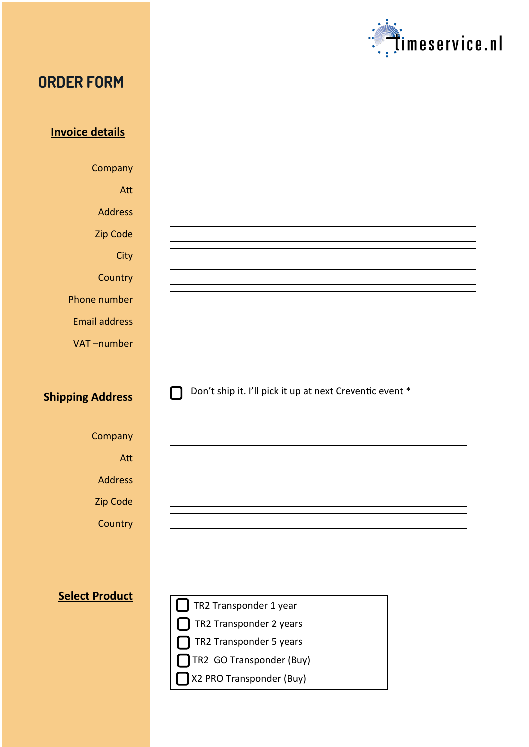

# **ORDER FORM**

#### **Invoice details**

Company Att Address Zip Code

**City** 

**Country** 

Phone number

Email address

VAT –number

### **Shipping Address**

Don't ship it. I'll pick it up at next Creventic event \*

# Att

Company

Address

Zip Code

**Country** 

| TR2 Transponder 1 year   |
|--------------------------|
| TR2 Transponder 2 years  |
| TR2 Transponder 5 years  |
| TR2 GO Transponder (Buy) |
| X2 PRO Transponder (Buy) |
|                          |

#### **Select Product**